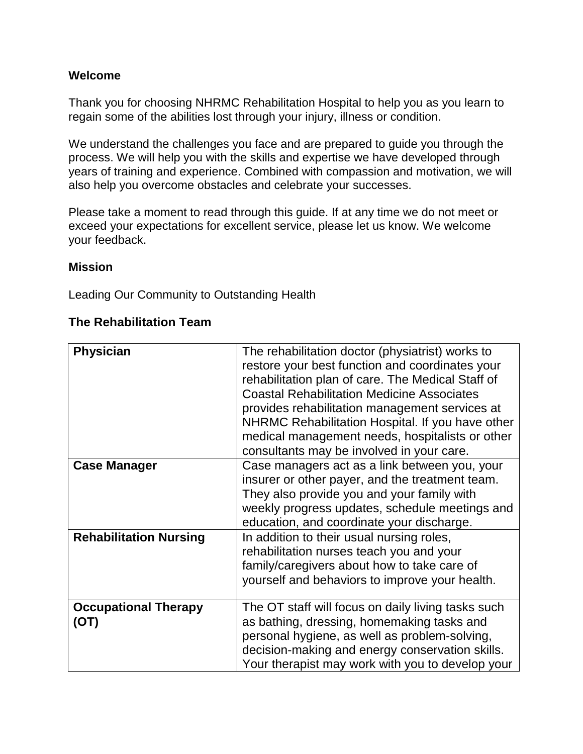#### **Welcome**

Thank you for choosing NHRMC Rehabilitation Hospital to help you as you learn to regain some of the abilities lost through your injury, illness or condition.

We understand the challenges you face and are prepared to guide you through the process. We will help you with the skills and expertise we have developed through years of training and experience. Combined with compassion and motivation, we will also help you overcome obstacles and celebrate your successes.

Please take a moment to read through this guide. If at any time we do not meet or exceed your expectations for excellent service, please let us know. We welcome your feedback.

#### **Mission**

Leading Our Community to Outstanding Health

#### **The Rehabilitation Team**

| <b>Physician</b>                    | The rehabilitation doctor (physiatrist) works to<br>restore your best function and coordinates your<br>rehabilitation plan of care. The Medical Staff of<br><b>Coastal Rehabilitation Medicine Associates</b><br>provides rehabilitation management services at<br>NHRMC Rehabilitation Hospital. If you have other<br>medical management needs, hospitalists or other<br>consultants may be involved in your care. |
|-------------------------------------|---------------------------------------------------------------------------------------------------------------------------------------------------------------------------------------------------------------------------------------------------------------------------------------------------------------------------------------------------------------------------------------------------------------------|
| <b>Case Manager</b>                 | Case managers act as a link between you, your<br>insurer or other payer, and the treatment team.<br>They also provide you and your family with<br>weekly progress updates, schedule meetings and<br>education, and coordinate your discharge.                                                                                                                                                                       |
| <b>Rehabilitation Nursing</b>       | In addition to their usual nursing roles,<br>rehabilitation nurses teach you and your<br>family/caregivers about how to take care of<br>yourself and behaviors to improve your health.                                                                                                                                                                                                                              |
| <b>Occupational Therapy</b><br>(OT) | The OT staff will focus on daily living tasks such<br>as bathing, dressing, homemaking tasks and<br>personal hygiene, as well as problem-solving,<br>decision-making and energy conservation skills.<br>Your therapist may work with you to develop your                                                                                                                                                            |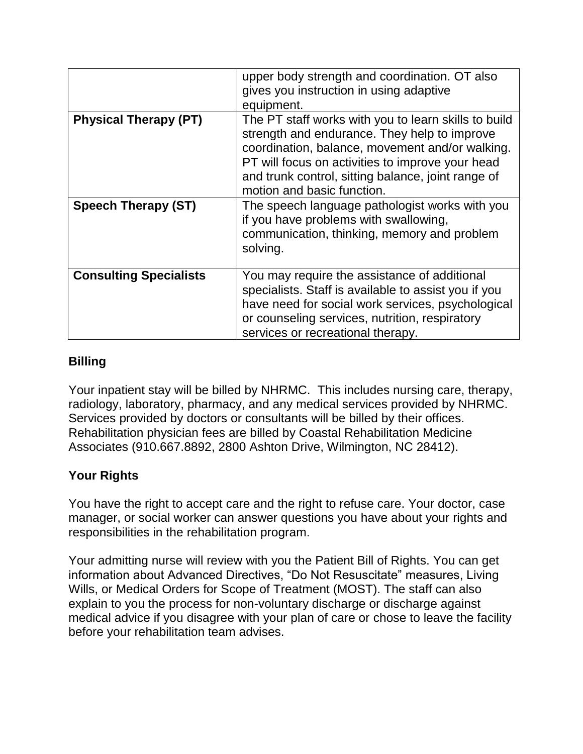|                               | upper body strength and coordination. OT also<br>gives you instruction in using adaptive<br>equipment.                                                                                                                                                                                          |
|-------------------------------|-------------------------------------------------------------------------------------------------------------------------------------------------------------------------------------------------------------------------------------------------------------------------------------------------|
| <b>Physical Therapy (PT)</b>  | The PT staff works with you to learn skills to build<br>strength and endurance. They help to improve<br>coordination, balance, movement and/or walking.<br>PT will focus on activities to improve your head<br>and trunk control, sitting balance, joint range of<br>motion and basic function. |
| <b>Speech Therapy (ST)</b>    | The speech language pathologist works with you<br>if you have problems with swallowing,<br>communication, thinking, memory and problem<br>solving.                                                                                                                                              |
| <b>Consulting Specialists</b> | You may require the assistance of additional<br>specialists. Staff is available to assist you if you<br>have need for social work services, psychological<br>or counseling services, nutrition, respiratory<br>services or recreational therapy.                                                |

## **Billing**

Your inpatient stay will be billed by NHRMC. This includes nursing care, therapy, radiology, laboratory, pharmacy, and any medical services provided by NHRMC. Services provided by doctors or consultants will be billed by their offices. Rehabilitation physician fees are billed by Coastal Rehabilitation Medicine Associates (910.667.8892, 2800 Ashton Drive, Wilmington, NC 28412).

# **Your Rights**

You have the right to accept care and the right to refuse care. Your doctor, case manager, or social worker can answer questions you have about your rights and responsibilities in the rehabilitation program.

Your admitting nurse will review with you the Patient Bill of Rights. You can get information about Advanced Directives, "Do Not Resuscitate" measures, Living Wills, or Medical Orders for Scope of Treatment (MOST). The staff can also explain to you the process for non-voluntary discharge or discharge against medical advice if you disagree with your plan of care or chose to leave the facility before your rehabilitation team advises.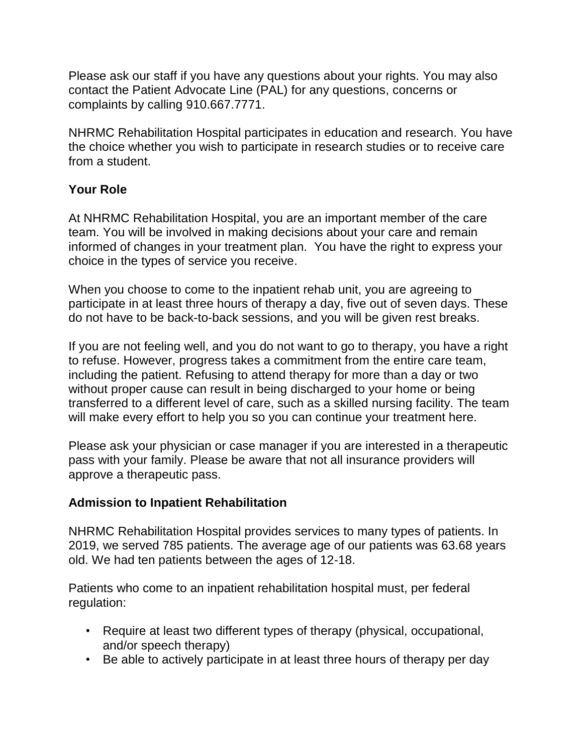Please ask our staff if you have any questions about your rights. You may also contact the Patient Advocate Line (PAL) for any questions, concerns or complaints by calling 910.667.7771.

NHRMC Rehabilitation Hospital participates in education and research. You have the choice whether you wish to participate in research studies or to receive care from a student.

## **Your Role**

At NHRMC Rehabilitation Hospital, you are an important member of the care team. You will be involved in making decisions about your care and remain informed of changes in your treatment plan. You have the right to express your choice in the types of service you receive.

When you choose to come to the inpatient rehab unit, you are agreeing to participate in at least three hours of therapy a day, five out of seven days. These do not have to be back-to-back sessions, and you will be given rest breaks.

If you are not feeling well, and you do not want to go to therapy, you have a right to refuse. However, progress takes a commitment from the entire care team, including the patient. Refusing to attend therapy for more than a day or two without proper cause can result in being discharged to your home or being transferred to a different level of care, such as a skilled nursing facility. The team will make every effort to help you so you can continue your treatment here.

Please ask your physician or case manager if you are interested in a therapeutic pass with your family. Please be aware that not all insurance providers will approve a therapeutic pass.

# **Admission to Inpatient Rehabilitation**

NHRMC Rehabilitation Hospital provides services to many types of patients. In 2019, we served 785 patients. The average age of our patients was 63.68 years old. We had ten patients between the ages of 12-18.

Patients who come to an inpatient rehabilitation hospital must, per federal regulation:

- Require at least two different types of therapy (physical, occupational, and/or speech therapy)
- Be able to actively participate in at least three hours of therapy per day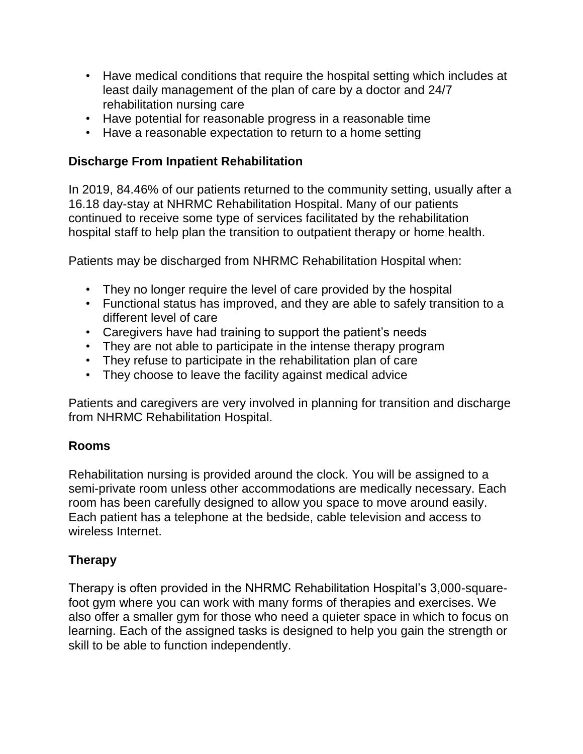- Have medical conditions that require the hospital setting which includes at least daily management of the plan of care by a doctor and 24/7 rehabilitation nursing care
- Have potential for reasonable progress in a reasonable time
- Have a reasonable expectation to return to a home setting

## **Discharge From Inpatient Rehabilitation**

In 2019, 84.46% of our patients returned to the community setting, usually after a 16.18 day-stay at NHRMC Rehabilitation Hospital. Many of our patients continued to receive some type of services facilitated by the rehabilitation hospital staff to help plan the transition to outpatient therapy or home health.

Patients may be discharged from NHRMC Rehabilitation Hospital when:

- They no longer require the level of care provided by the hospital
- Functional status has improved, and they are able to safely transition to a different level of care
- Caregivers have had training to support the patient's needs
- They are not able to participate in the intense therapy program
- They refuse to participate in the rehabilitation plan of care
- They choose to leave the facility against medical advice

Patients and caregivers are very involved in planning for transition and discharge from NHRMC Rehabilitation Hospital.

## **Rooms**

Rehabilitation nursing is provided around the clock. You will be assigned to a semi-private room unless other accommodations are medically necessary. Each room has been carefully designed to allow you space to move around easily. Each patient has a telephone at the bedside, cable television and access to wireless Internet.

# **Therapy**

Therapy is often provided in the NHRMC Rehabilitation Hospital's 3,000-squarefoot gym where you can work with many forms of therapies and exercises. We also offer a smaller gym for those who need a quieter space in which to focus on learning. Each of the assigned tasks is designed to help you gain the strength or skill to be able to function independently.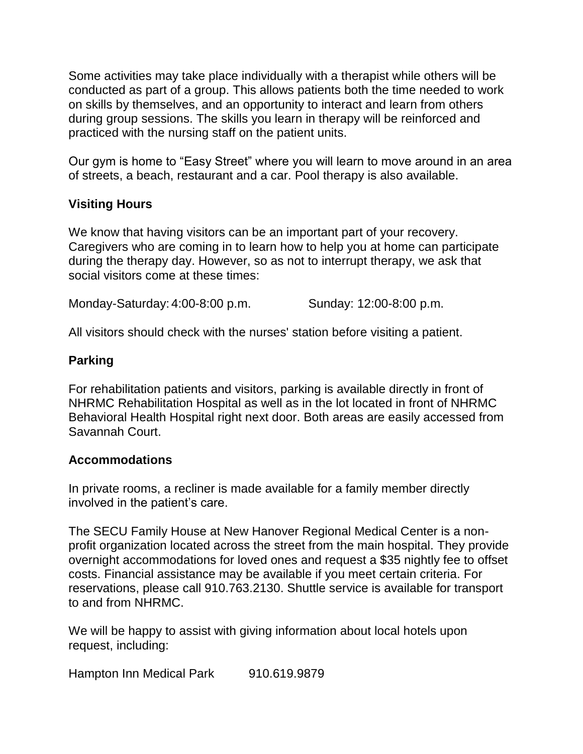Some activities may take place individually with a therapist while others will be conducted as part of a group. This allows patients both the time needed to work on skills by themselves, and an opportunity to interact and learn from others during group sessions. The skills you learn in therapy will be reinforced and practiced with the nursing staff on the patient units.

Our gym is home to "Easy Street" where you will learn to move around in an area of streets, a beach, restaurant and a car. Pool therapy is also available.

### **Visiting Hours**

We know that having visitors can be an important part of your recovery. Caregivers who are coming in to learn how to help you at home can participate during the therapy day. However, so as not to interrupt therapy, we ask that social visitors come at these times:

Monday-Saturday: 4:00-8:00 p.m. Sunday: 12:00-8:00 p.m.

All visitors should check with the nurses' station before visiting a patient.

## **Parking**

For rehabilitation patients and visitors, parking is available directly in front of NHRMC Rehabilitation Hospital as well as in the lot located in front of NHRMC Behavioral Health Hospital right next door. Both areas are easily accessed from Savannah Court.

#### **Accommodations**

In private rooms, a recliner is made available for a family member directly involved in the patient's care.

The SECU Family House at New Hanover Regional Medical Center is a nonprofit organization located across the street from the main hospital. They provide overnight accommodations for loved ones and request a \$35 nightly fee to offset costs. Financial assistance may be available if you meet certain criteria. For reservations, please call 910.763.2130. Shuttle service is available for transport to and from NHRMC.

We will be happy to assist with giving information about local hotels upon request, including:

Hampton Inn Medical Park 910.619.9879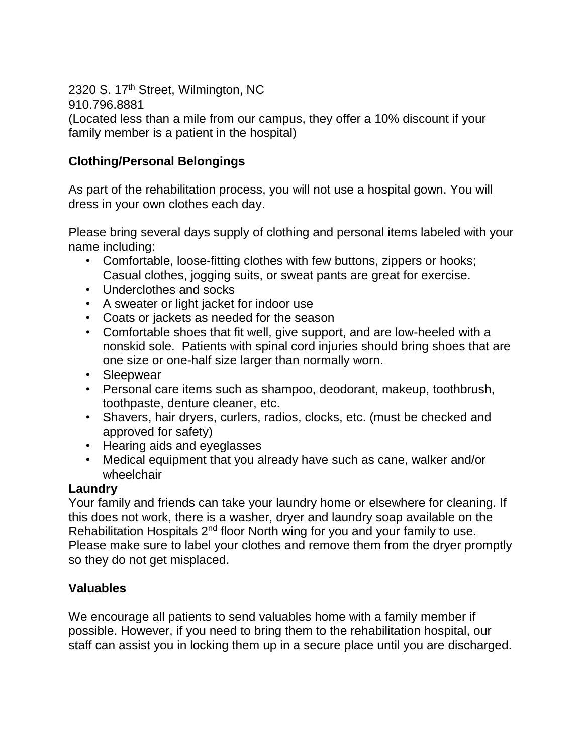2320 S. 17<sup>th</sup> Street, Wilmington, NC 910.796.8881 (Located less than a mile from our campus, they offer a 10% discount if your family member is a patient in the hospital)

## **Clothing/Personal Belongings**

As part of the rehabilitation process, you will not use a hospital gown. You will dress in your own clothes each day.

Please bring several days supply of clothing and personal items labeled with your name including:

- Comfortable, loose-fitting clothes with few buttons, zippers or hooks; Casual clothes, jogging suits, or sweat pants are great for exercise.
- Underclothes and socks
- A sweater or light jacket for indoor use
- Coats or jackets as needed for the season
- Comfortable shoes that fit well, give support, and are low-heeled with a nonskid sole. Patients with spinal cord injuries should bring shoes that are one size or one-half size larger than normally worn.
- Sleepwear
- Personal care items such as shampoo, deodorant, makeup, toothbrush, toothpaste, denture cleaner, etc.
- Shavers, hair dryers, curlers, radios, clocks, etc. (must be checked and approved for safety)
- Hearing aids and eyeglasses
- Medical equipment that you already have such as cane, walker and/or wheelchair

#### **Laundry**

Your family and friends can take your laundry home or elsewhere for cleaning. If this does not work, there is a washer, dryer and laundry soap available on the Rehabilitation Hospitals 2<sup>nd</sup> floor North wing for you and your family to use. Please make sure to label your clothes and remove them from the dryer promptly so they do not get misplaced.

## **Valuables**

We encourage all patients to send valuables home with a family member if possible. However, if you need to bring them to the rehabilitation hospital, our staff can assist you in locking them up in a secure place until you are discharged.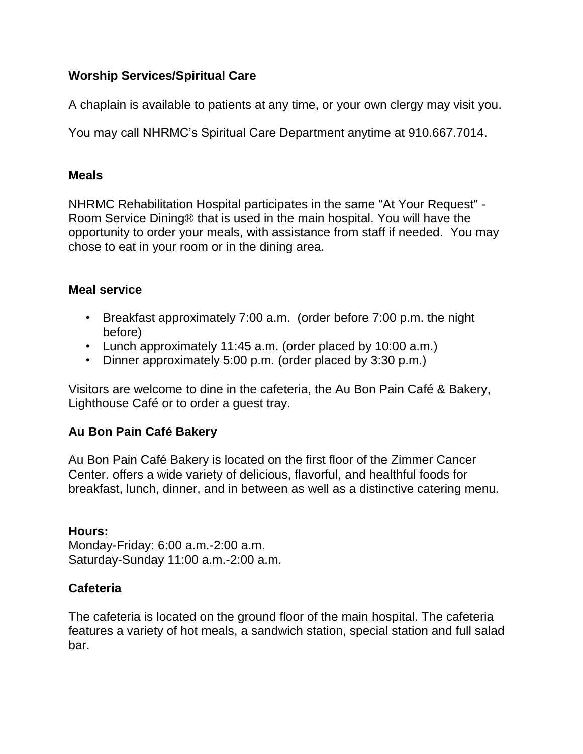## **Worship Services/Spiritual Care**

A chaplain is available to patients at any time, or your own clergy may visit you.

You may call NHRMC's Spiritual Care Department anytime at 910.667.7014.

### **Meals**

NHRMC Rehabilitation Hospital participates in the same "At Your Request" - Room Service Dining® that is used in the main hospital. You will have the opportunity to order your meals, with assistance from staff if needed. You may chose to eat in your room or in the dining area.

## **Meal service**

- Breakfast approximately 7:00 a.m. (order before 7:00 p.m. the night before)
- Lunch approximately 11:45 a.m. (order placed by 10:00 a.m.)
- Dinner approximately 5:00 p.m. (order placed by 3:30 p.m.)

Visitors are welcome to dine in the cafeteria, the Au Bon Pain Café & Bakery, Lighthouse Café or to order a guest tray.

# **Au Bon Pain Café Bakery**

Au Bon Pain Café Bakery is located on the first floor of the Zimmer Cancer Center. offers a wide variety of delicious, flavorful, and healthful foods for breakfast, lunch, dinner, and in between as well as a distinctive catering menu.

## **Hours:**

Monday-Friday: 6:00 a.m.-2:00 a.m. Saturday-Sunday 11:00 a.m.-2:00 a.m.

# **Cafeteria**

The cafeteria is located on the ground floor of the main hospital. The cafeteria features a variety of hot meals, a sandwich station, special station and full salad bar.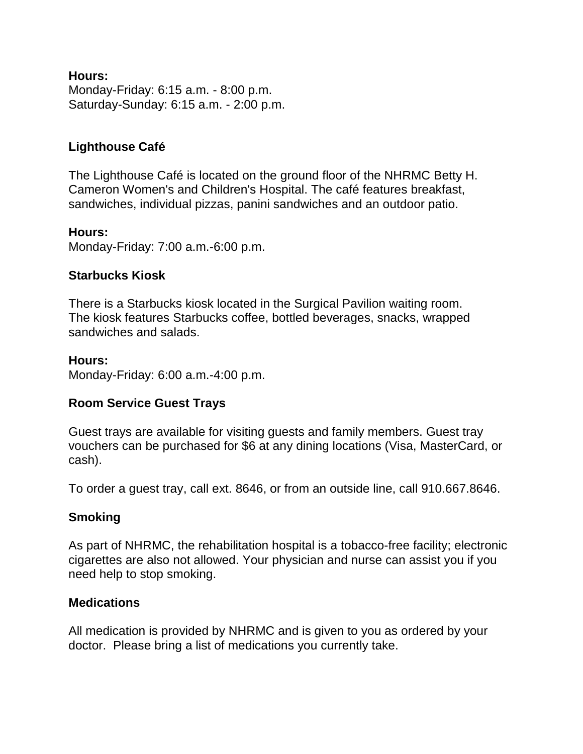#### **Hours:**

Monday-Friday: 6:15 a.m. - 8:00 p.m. Saturday-Sunday: 6:15 a.m. - 2:00 p.m.

## **Lighthouse Café**

The Lighthouse Café is located on the ground floor of the NHRMC Betty H. Cameron Women's and Children's Hospital. The café features breakfast, sandwiches, individual pizzas, panini sandwiches and an outdoor patio.

#### **Hours:**

Monday-Friday: 7:00 a.m.-6:00 p.m.

#### **Starbucks Kiosk**

There is a Starbucks kiosk located in the Surgical Pavilion waiting room. The kiosk features Starbucks coffee, bottled beverages, snacks, wrapped sandwiches and salads.

#### **Hours:**

Monday-Friday: 6:00 a.m.-4:00 p.m.

#### **Room Service Guest Trays**

Guest trays are available for visiting guests and family members. Guest tray vouchers can be purchased for \$6 at any dining locations (Visa, MasterCard, or cash).

To order a guest tray, call ext. 8646, or from an outside line, call 910.667.8646.

#### **Smoking**

As part of NHRMC, the rehabilitation hospital is a tobacco-free facility; electronic cigarettes are also not allowed. Your physician and nurse can assist you if you need help to stop smoking.

#### **Medications**

All medication is provided by NHRMC and is given to you as ordered by your doctor. Please bring a list of medications you currently take.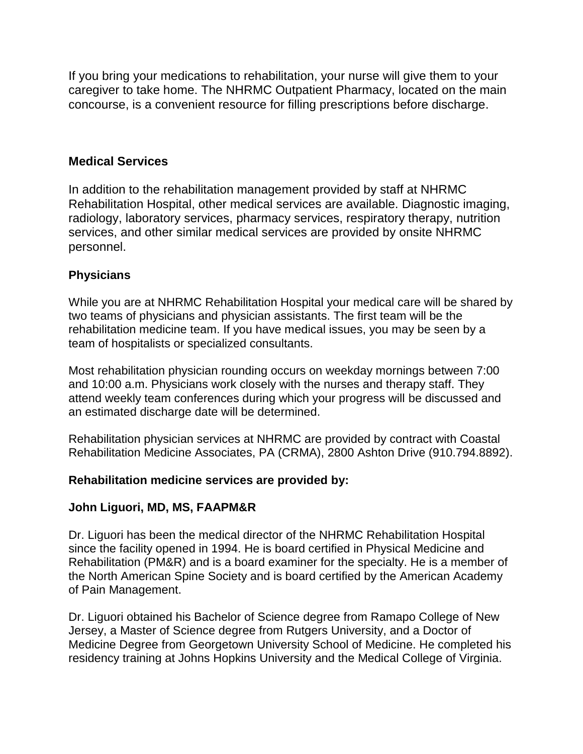If you bring your medications to rehabilitation, your nurse will give them to your caregiver to take home. The NHRMC Outpatient Pharmacy, located on the main concourse, is a convenient resource for filling prescriptions before discharge.

### **Medical Services**

In addition to the rehabilitation management provided by staff at NHRMC Rehabilitation Hospital, other medical services are available. Diagnostic imaging, radiology, laboratory services, pharmacy services, respiratory therapy, nutrition services, and other similar medical services are provided by onsite NHRMC personnel.

### **Physicians**

While you are at NHRMC Rehabilitation Hospital your medical care will be shared by two teams of physicians and physician assistants. The first team will be the rehabilitation medicine team. If you have medical issues, you may be seen by a team of hospitalists or specialized consultants.

Most rehabilitation physician rounding occurs on weekday mornings between 7:00 and 10:00 a.m. Physicians work closely with the nurses and therapy staff. They attend weekly team conferences during which your progress will be discussed and an estimated discharge date will be determined.

Rehabilitation physician services at NHRMC are provided by contract with Coastal Rehabilitation Medicine Associates, PA (CRMA), 2800 Ashton Drive (910.794.8892).

#### **Rehabilitation medicine services are provided by:**

#### **John Liguori, MD, MS, FAAPM&R**

Dr. Liguori has been the medical director of the NHRMC Rehabilitation Hospital since the facility opened in 1994. He is board certified in Physical Medicine and Rehabilitation (PM&R) and is a board examiner for the specialty. He is a member of the North American Spine Society and is board certified by the American Academy of Pain Management.

Dr. Liguori obtained his Bachelor of Science degree from Ramapo College of New Jersey, a Master of Science degree from Rutgers University, and a Doctor of Medicine Degree from Georgetown University School of Medicine. He completed his residency training at Johns Hopkins University and the Medical College of Virginia.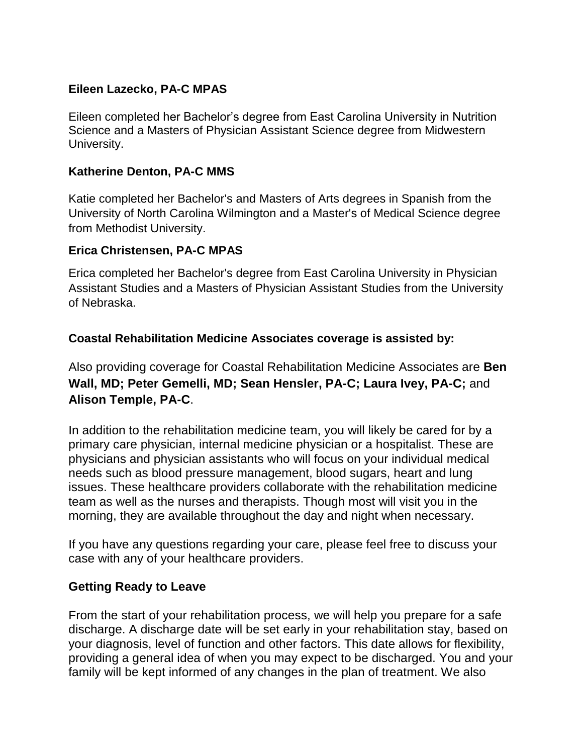### **Eileen Lazecko, PA-C MPAS**

Eileen completed her Bachelor's degree from East Carolina University in Nutrition Science and a Masters of Physician Assistant Science degree from Midwestern University.

#### **Katherine Denton, PA-C MMS**

Katie completed her Bachelor's and Masters of Arts degrees in Spanish from the University of North Carolina Wilmington and a Master's of Medical Science degree from Methodist University.

#### **Erica Christensen, PA-C MPAS**

Erica completed her Bachelor's degree from East Carolina University in Physician Assistant Studies and a Masters of Physician Assistant Studies from the University of Nebraska.

### **Coastal Rehabilitation Medicine Associates coverage is assisted by:**

Also providing coverage for Coastal Rehabilitation Medicine Associates are **Ben Wall, MD; Peter Gemelli, MD; Sean Hensler, PA-C; Laura Ivey, PA-C;** and **Alison Temple, PA-C**.

In addition to the rehabilitation medicine team, you will likely be cared for by a primary care physician, internal medicine physician or a hospitalist. These are physicians and physician assistants who will focus on your individual medical needs such as blood pressure management, blood sugars, heart and lung issues. These healthcare providers collaborate with the rehabilitation medicine team as well as the nurses and therapists. Though most will visit you in the morning, they are available throughout the day and night when necessary.

If you have any questions regarding your care, please feel free to discuss your case with any of your healthcare providers.

## **Getting Ready to Leave**

From the start of your rehabilitation process, we will help you prepare for a safe discharge. A discharge date will be set early in your rehabilitation stay, based on your diagnosis, level of function and other factors. This date allows for flexibility, providing a general idea of when you may expect to be discharged. You and your family will be kept informed of any changes in the plan of treatment. We also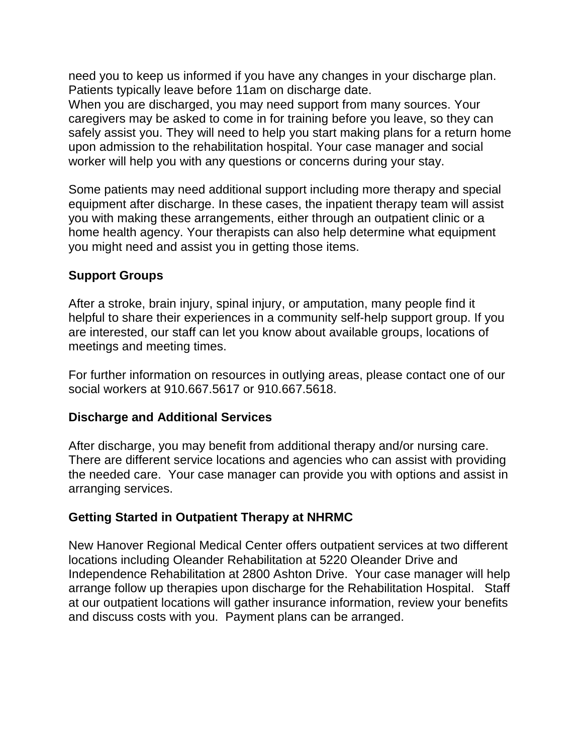need you to keep us informed if you have any changes in your discharge plan. Patients typically leave before 11am on discharge date.

When you are discharged, you may need support from many sources. Your caregivers may be asked to come in for training before you leave, so they can safely assist you. They will need to help you start making plans for a return home upon admission to the rehabilitation hospital. Your case manager and social worker will help you with any questions or concerns during your stay.

Some patients may need additional support including more therapy and special equipment after discharge. In these cases, the inpatient therapy team will assist you with making these arrangements, either through an outpatient clinic or a home health agency. Your therapists can also help determine what equipment you might need and assist you in getting those items.

## **Support Groups**

After a stroke, brain injury, spinal injury, or amputation, many people find it helpful to share their experiences in a community self-help support group. If you are interested, our staff can let you know about available groups, locations of meetings and meeting times.

For further information on resources in outlying areas, please contact one of our social workers at 910.667.5617 or 910.667.5618.

## **Discharge and Additional Services**

After discharge, you may benefit from additional therapy and/or nursing care. There are different service locations and agencies who can assist with providing the needed care. Your case manager can provide you with options and assist in arranging services.

# **Getting Started in Outpatient Therapy at NHRMC**

New Hanover Regional Medical Center offers outpatient services at two different locations including Oleander Rehabilitation at 5220 Oleander Drive and Independence Rehabilitation at 2800 Ashton Drive. Your case manager will help arrange follow up therapies upon discharge for the Rehabilitation Hospital. Staff at our outpatient locations will gather insurance information, review your benefits and discuss costs with you. Payment plans can be arranged.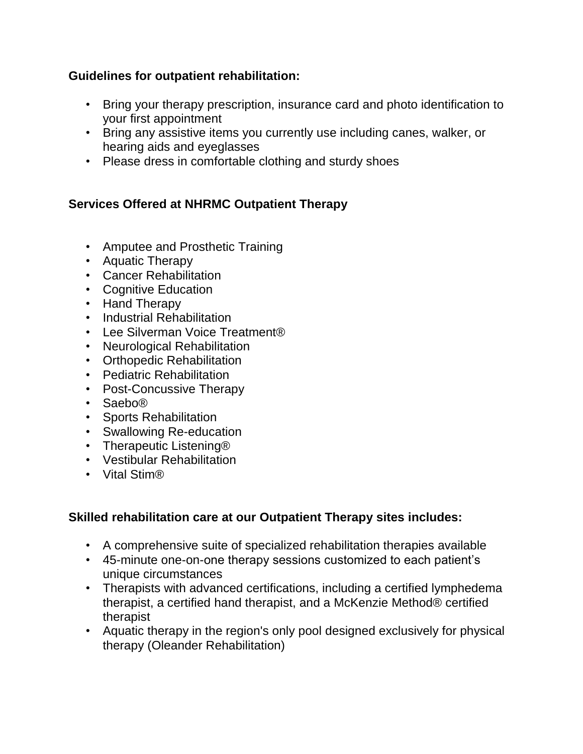## **Guidelines for outpatient rehabilitation:**

- Bring your therapy prescription, insurance card and photo identification to your first appointment
- Bring any assistive items you currently use including canes, walker, or hearing aids and eyeglasses
- Please dress in comfortable clothing and sturdy shoes

# **Services Offered at NHRMC Outpatient Therapy**

- Amputee and Prosthetic Training
- Aquatic Therapy
- Cancer Rehabilitation
- Cognitive Education
- Hand Therapy
- Industrial Rehabilitation
- Lee Silverman Voice Treatment®
- Neurological Rehabilitation
- Orthopedic Rehabilitation
- Pediatric Rehabilitation
- Post-Concussive Therapy
- Saebo®
- Sports Rehabilitation
- Swallowing Re-education
- Therapeutic Listening®
- Vestibular Rehabilitation
- Vital Stim®

## **Skilled rehabilitation care at our Outpatient Therapy sites includes:**

- A comprehensive suite of specialized rehabilitation therapies available
- 45-minute one-on-one therapy sessions customized to each patient's unique circumstances
- Therapists with advanced certifications, including a certified lymphedema therapist, a certified hand therapist, and a McKenzie Method® certified therapist
- Aquatic therapy in the region's only pool designed exclusively for physical therapy (Oleander Rehabilitation)